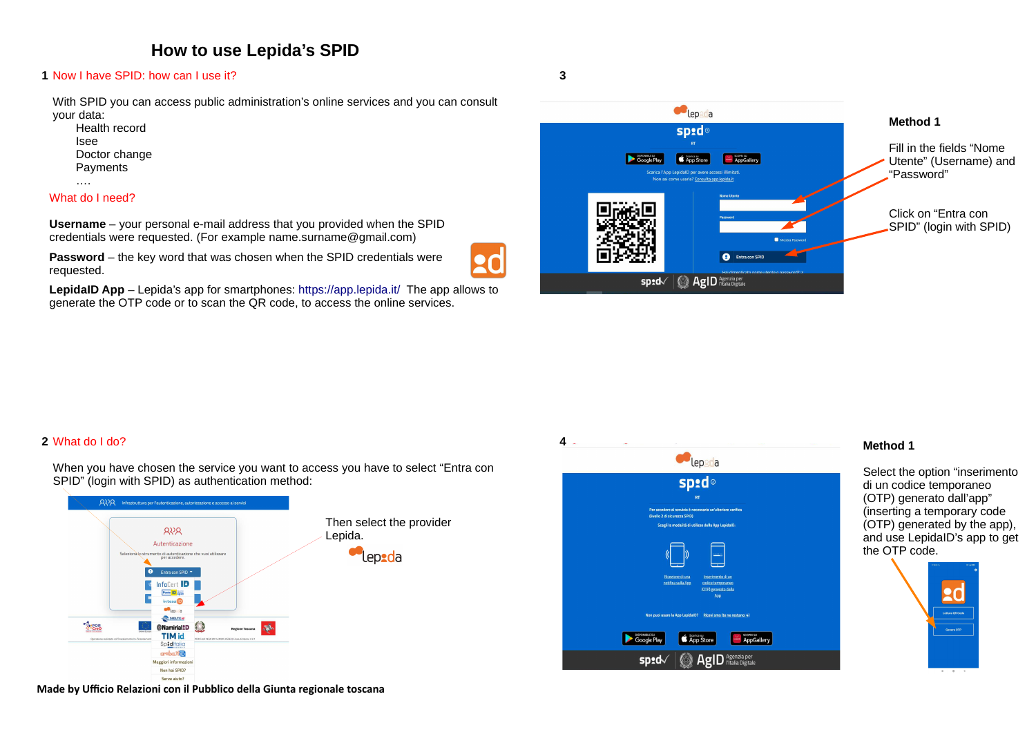# **How to use Lepida's SPID**

#### Now I have SPID: how can I use it?**1**

With SPID you can access public administration's online services and you can consult your data:

 Health recordIsee Doctor changePayments

….

#### What do I need?

**Username** – your personal e-mail address that you provided when the SPID credentials were requested. (For example name.surname@gmail.com)

**Password** – the key word that was chosen when the SPID credentials were requested.

**LepidaID App** – Lepida's app for smartphones: https://app.lepida.it/ The app allows to generate the OTP code or to scan the QR code, to access the online services.



**3**

### What do I do?**2**

When you have chosen the service you want to access you have to select "Entra con SPID" (login with SPID) as authentication method:





#### **Method 1**

Select the option "inserimento di un codice temporaneo (OTP) generato dall'app" (inserting a temporary code (OTP) generated by the app), and use LepidaID's app to get the OTP code.





Serve aiuto: